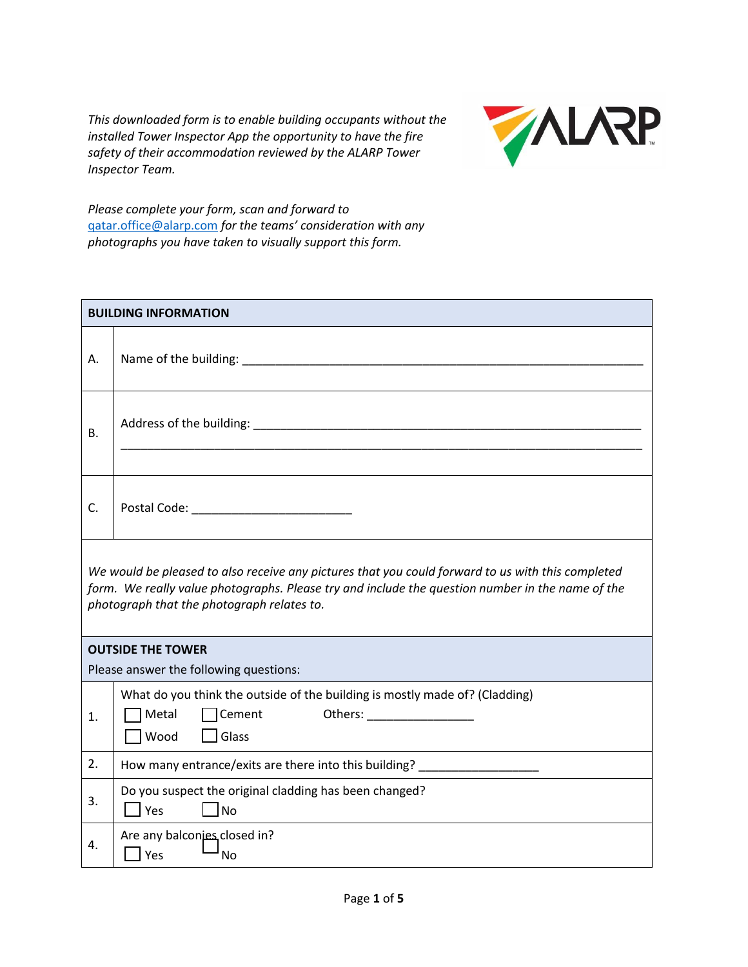*This downloaded form is to enable building occupants without the installed Tower Inspector App the opportunity to have the fire safety of their accommodation reviewed by the ALARP Tower Inspector Team.*



*Please complete your form, scan and forward to*  [qatar.office@alarp.com](mailto:qatar.office@alarp.com) *for the teams' consideration with any photographs you have taken to visually support this form.*

|                                                                                                                                                                                                                                                     | <b>BUILDING INFORMATION</b>                                                                                                   |  |  |
|-----------------------------------------------------------------------------------------------------------------------------------------------------------------------------------------------------------------------------------------------------|-------------------------------------------------------------------------------------------------------------------------------|--|--|
| А.                                                                                                                                                                                                                                                  |                                                                                                                               |  |  |
| <b>B.</b>                                                                                                                                                                                                                                           |                                                                                                                               |  |  |
| C.                                                                                                                                                                                                                                                  |                                                                                                                               |  |  |
| We would be pleased to also receive any pictures that you could forward to us with this completed<br>form. We really value photographs. Please try and include the question number in the name of the<br>photograph that the photograph relates to. |                                                                                                                               |  |  |
| <b>OUTSIDE THE TOWER</b>                                                                                                                                                                                                                            |                                                                                                                               |  |  |
|                                                                                                                                                                                                                                                     | Please answer the following questions:                                                                                        |  |  |
| 1.                                                                                                                                                                                                                                                  | What do you think the outside of the building is mostly made of? (Cladding)<br>Metal<br>$\Box$ Cement<br>$\Box$ Glass<br>Wood |  |  |
| 2.                                                                                                                                                                                                                                                  | How many entrance/exits are there into this building? ___________________                                                     |  |  |
| 3.                                                                                                                                                                                                                                                  | Do you suspect the original cladding has been changed?<br>TNo<br>l Yes                                                        |  |  |
| 4.                                                                                                                                                                                                                                                  | Are any balconies closed in?<br>$ $ Yes<br>No                                                                                 |  |  |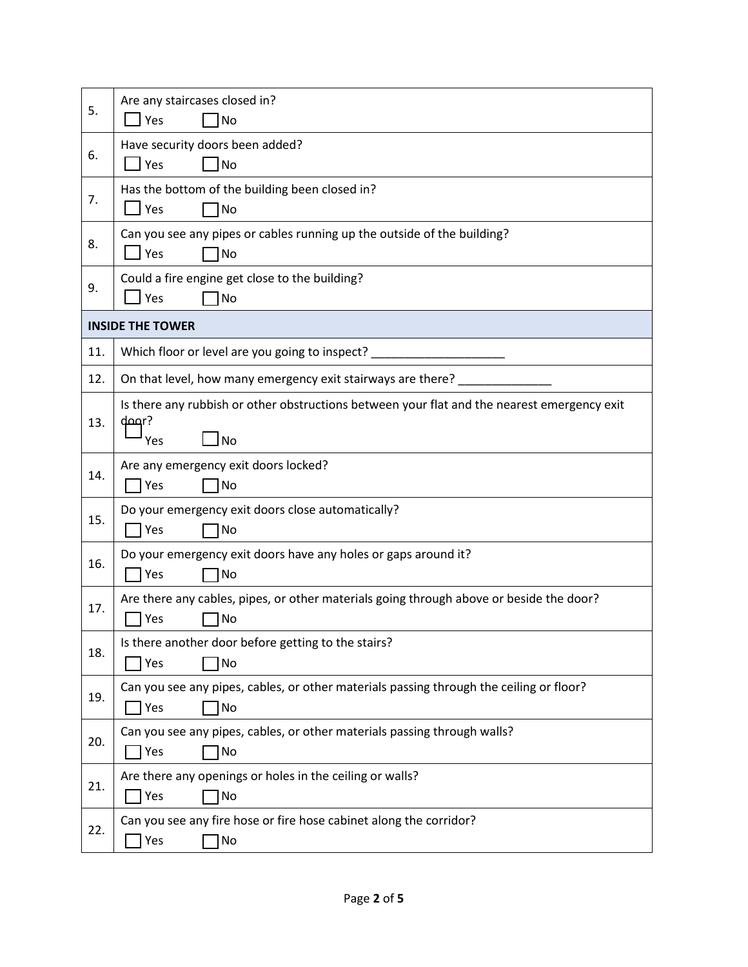| 5.  | Are any staircases closed in?<br>Yes<br><b>No</b>                                                                   |
|-----|---------------------------------------------------------------------------------------------------------------------|
| 6.  | Have security doors been added?<br>$\lceil$ Yes<br>No                                                               |
| 7.  | Has the bottom of the building been closed in?<br>$\perp$ Yes<br>No                                                 |
| 8.  | Can you see any pipes or cables running up the outside of the building?<br>$\Box$ Yes<br>No                         |
| 9.  | Could a fire engine get close to the building?<br>Yes<br>No                                                         |
|     | <b>INSIDE THE TOWER</b>                                                                                             |
| 11. | Which floor or level are you going to inspect?                                                                      |
| 12. | On that level, how many emergency exit stairways are there? _                                                       |
| 13. | Is there any rubbish or other obstructions between your flat and the nearest emergency exit<br>door?<br>l No<br>Yes |
| 14. | Are any emergency exit doors locked?<br>Yes<br>No                                                                   |
| 15. | Do your emergency exit doors close automatically?<br>Yes<br>No                                                      |
| 16. | Do your emergency exit doors have any holes or gaps around it?<br>Yes<br>No                                         |
| 17. | Are there any cables, pipes, or other materials going through above or beside the door?<br>No<br>Yes                |
| 18. | Is there another door before getting to the stairs?<br>Yes<br>No                                                    |
| 19. | Can you see any pipes, cables, or other materials passing through the ceiling or floor?<br>Yes<br>No                |
| 20. | Can you see any pipes, cables, or other materials passing through walls?<br><b>T</b> Yes<br>No                      |
| 21. | Are there any openings or holes in the ceiling or walls?<br>Yes<br>No                                               |
| 22. | Can you see any fire hose or fire hose cabinet along the corridor?<br>Yes<br>No                                     |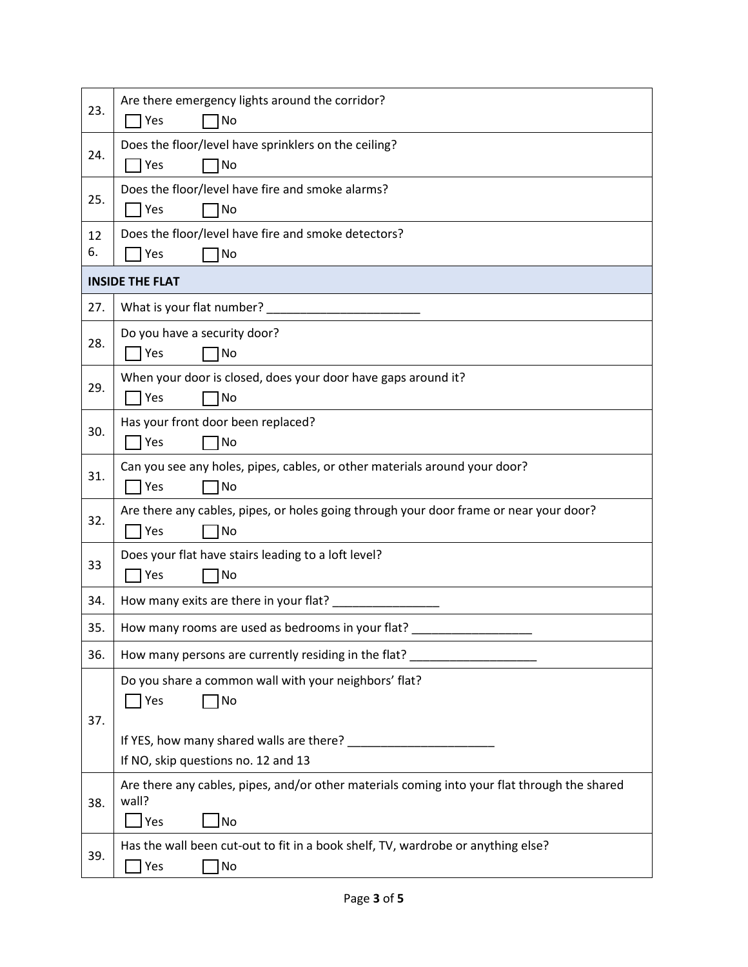| 23.                    | Are there emergency lights around the corridor?                                                       |  |  |
|------------------------|-------------------------------------------------------------------------------------------------------|--|--|
|                        | No<br>Yes                                                                                             |  |  |
| 24.                    | Does the floor/level have sprinklers on the ceiling?                                                  |  |  |
|                        | Yes<br>No                                                                                             |  |  |
| 25.                    | Does the floor/level have fire and smoke alarms?                                                      |  |  |
|                        | TYes<br>No                                                                                            |  |  |
| 12                     | Does the floor/level have fire and smoke detectors?                                                   |  |  |
| 6.                     | Yes<br>No                                                                                             |  |  |
| <b>INSIDE THE FLAT</b> |                                                                                                       |  |  |
| 27.                    | What is your flat number?                                                                             |  |  |
|                        | Do you have a security door?                                                                          |  |  |
| 28.                    | 7 Yes<br>No                                                                                           |  |  |
| 29.                    | When your door is closed, does your door have gaps around it?                                         |  |  |
|                        | <b>Yes</b><br>No                                                                                      |  |  |
| 30.                    | Has your front door been replaced?                                                                    |  |  |
|                        | Yes<br>No                                                                                             |  |  |
| 31.                    | Can you see any holes, pipes, cables, or other materials around your door?                            |  |  |
|                        | Yes<br>No                                                                                             |  |  |
| 32.                    | Are there any cables, pipes, or holes going through your door frame or near your door?                |  |  |
|                        | No<br>Yes                                                                                             |  |  |
| 33                     | Does your flat have stairs leading to a loft level?                                                   |  |  |
|                        | Yes<br>No                                                                                             |  |  |
| 34.                    | How many exits are there in your flat?                                                                |  |  |
| 35.                    | How many rooms are used as bedrooms in your flat?                                                     |  |  |
| 36.                    | How many persons are currently residing in the flat?                                                  |  |  |
|                        | Do you share a common wall with your neighbors' flat?                                                 |  |  |
|                        | 1No<br>Yes                                                                                            |  |  |
| 37.                    |                                                                                                       |  |  |
|                        |                                                                                                       |  |  |
|                        | If NO, skip questions no. 12 and 13                                                                   |  |  |
| 38.                    | Are there any cables, pipes, and/or other materials coming into your flat through the shared<br>wall? |  |  |
|                        | ∐Yes<br>No                                                                                            |  |  |
|                        | Has the wall been cut-out to fit in a book shelf, TV, wardrobe or anything else?                      |  |  |
| 39.                    | Yes<br>No                                                                                             |  |  |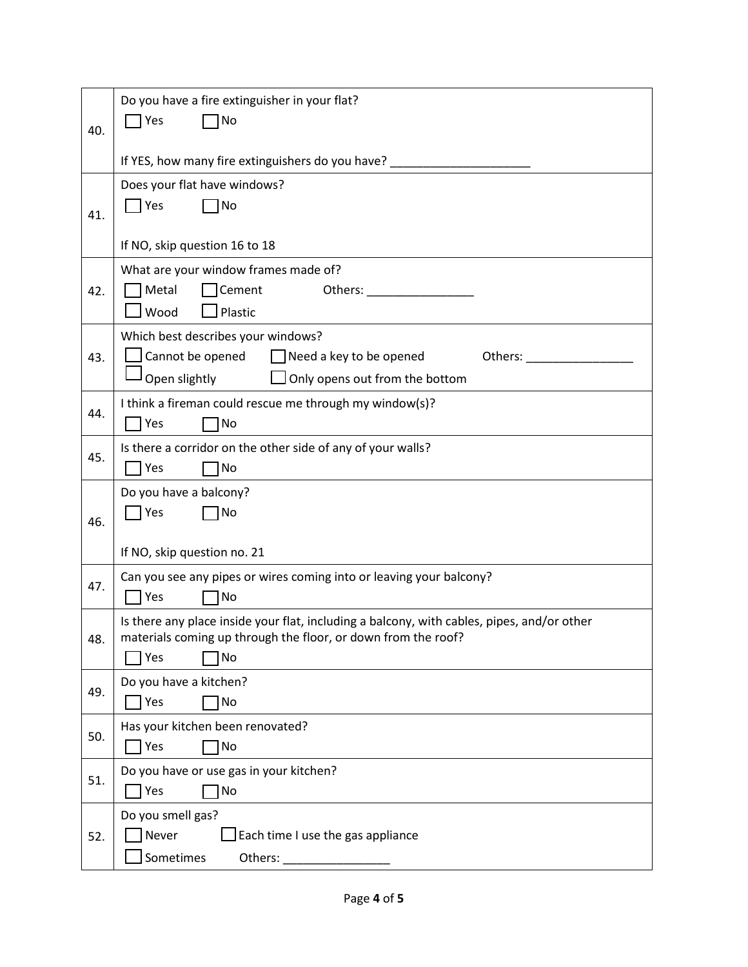|     | Do you have a fire extinguisher in your flat?                                                                  |
|-----|----------------------------------------------------------------------------------------------------------------|
| 40. | Yes<br>No                                                                                                      |
|     | If YES, how many fire extinguishers do you have?                                                               |
|     | Does your flat have windows?                                                                                   |
| 41. | Yes<br>1No                                                                                                     |
|     | If NO, skip question 16 to 18                                                                                  |
|     | What are your window frames made of?                                                                           |
| 42. | Cement<br>Metal<br>Others: New York Products                                                                   |
|     | Wood<br>Plastic                                                                                                |
| 43. | Which best describes your windows?<br>Cannot be opened<br>$\Box$ Need a key to be opened<br>Others: __________ |
|     | Open slightly<br>Only opens out from the bottom                                                                |
|     | I think a fireman could rescue me through my window(s)?                                                        |
| 44. | Yes<br>No                                                                                                      |
| 45. | Is there a corridor on the other side of any of your walls?                                                    |
|     | Yes<br>No                                                                                                      |
|     | Do you have a balcony?<br>Yes<br>No                                                                            |
| 46. |                                                                                                                |
|     | If NO, skip question no. 21                                                                                    |
| 47. | Can you see any pipes or wires coming into or leaving your balcony?                                            |
|     | Yes<br>1No<br>Is there any place inside your flat, including a balcony, with cables, pipes, and/or other       |
| 48. | materials coming up through the floor, or down from the roof?                                                  |
|     | Yes<br>No                                                                                                      |
| 49. | Do you have a kitchen?                                                                                         |
|     | Yes<br>No                                                                                                      |
| 50. | Has your kitchen been renovated?<br>Yes<br>No                                                                  |
|     | Do you have or use gas in your kitchen?                                                                        |
| 51. | Yes<br>No                                                                                                      |
|     | Do you smell gas?                                                                                              |
| 52. | Never<br>Each time I use the gas appliance                                                                     |
|     | Sometimes<br>Others:                                                                                           |